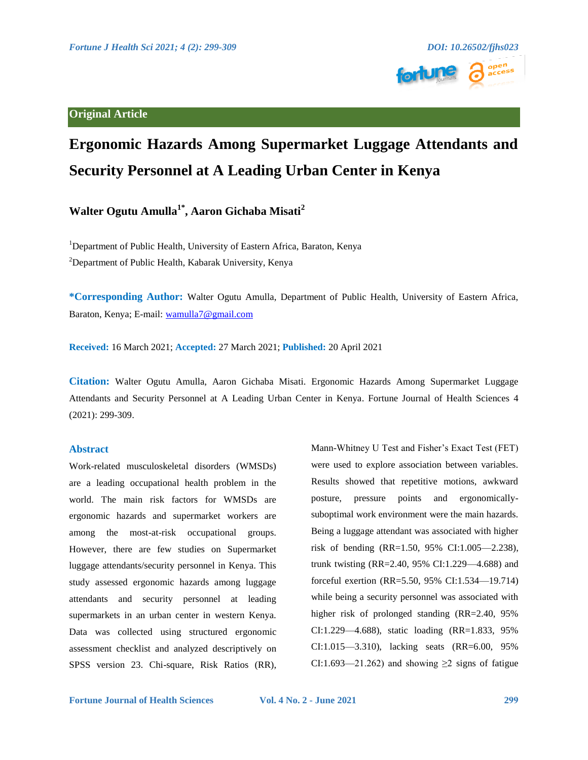

# **Ergonomic Hazards Among Supermarket Luggage Attendants and Security Personnel at A Leading Urban Center in Kenya**

**Walter Ogutu Amulla1\*, Aaron Gichaba Misati2**

<sup>1</sup>Department of Public Health, University of Eastern Africa, Baraton, Kenya <sup>2</sup>Department of Public Health, Kabarak University, Kenya

**\*Corresponding Author:** Walter Ogutu Amulla, Department of Public Health, University of Eastern Africa, Baraton, Kenya; E-mail: [wamulla7@gmail.com](mailto:wamulla7@gmail.com)

**Received:** 16 March 2021; **Accepted:** 27 March 2021; **Published:** 20 April 2021

**Citation:** Walter Ogutu Amulla, Aaron Gichaba Misati. Ergonomic Hazards Among Supermarket Luggage Attendants and Security Personnel at A Leading Urban Center in Kenya. Fortune Journal of Health Sciences 4 (2021): 299-309.

# **Abstract**

Work-related musculoskeletal disorders (WMSDs) are a leading occupational health problem in the world. The main risk factors for WMSDs are ergonomic hazards and supermarket workers are among the most-at-risk occupational groups. However, there are few studies on Supermarket luggage attendants/security personnel in Kenya. This study assessed ergonomic hazards among luggage attendants and security personnel at leading supermarkets in an urban center in western Kenya. Data was collected using structured ergonomic assessment checklist and analyzed descriptively on SPSS version 23. Chi-square, Risk Ratios (RR), Mann-Whitney U Test and Fisher's Exact Test (FET) were used to explore association between variables. Results showed that repetitive motions, awkward posture, pressure points and ergonomicallysuboptimal work environment were the main hazards. Being a luggage attendant was associated with higher risk of bending (RR=1.50, 95% CI:1.005—2.238), trunk twisting (RR=2.40, 95% CI:1.229—4.688) and forceful exertion (RR=5.50, 95% CI:1.534—19.714) while being a security personnel was associated with higher risk of prolonged standing (RR=2.40, 95% CI:1.229—4.688), static loading (RR=1.833, 95% CI:1.015—3.310), lacking seats (RR=6.00, 95% CI:1.693—21.262) and showing  $\geq$ 2 signs of fatigue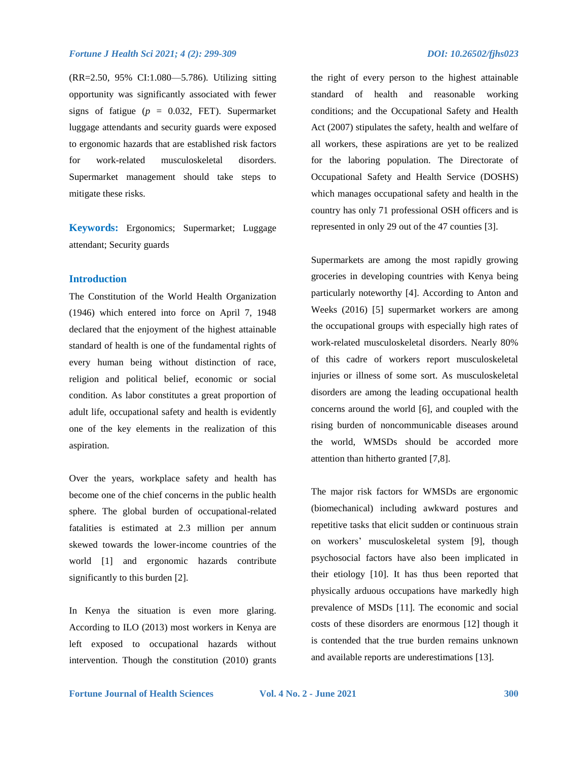(RR=2.50, 95% CI:1.080—5.786). Utilizing sitting opportunity was significantly associated with fewer signs of fatigue ( $p = 0.032$ , FET). Supermarket luggage attendants and security guards were exposed to ergonomic hazards that are established risk factors for work-related musculoskeletal disorders. Supermarket management should take steps to mitigate these risks.

**Keywords:** Ergonomics; Supermarket; Luggage attendant; Security guards

## **Introduction**

The Constitution of the World Health Organization (1946) which entered into force on April 7, 1948 declared that the enjoyment of the highest attainable standard of health is one of the fundamental rights of every human being without distinction of race, religion and political belief, economic or social condition. As labor constitutes a great proportion of adult life, occupational safety and health is evidently one of the key elements in the realization of this aspiration.

Over the years, workplace safety and health has become one of the chief concerns in the public health sphere. The global burden of occupational-related fatalities is estimated at 2.3 million per annum skewed towards the lower-income countries of the world [1] and ergonomic hazards contribute significantly to this burden [2].

In Kenya the situation is even more glaring. According to ILO (2013) most workers in Kenya are left exposed to occupational hazards without intervention. Though the constitution (2010) grants the right of every person to the highest attainable standard of health and reasonable working conditions; and the Occupational Safety and Health Act (2007) stipulates the safety, health and welfare of all workers, these aspirations are yet to be realized

for the laboring population. The Directorate of Occupational Safety and Health Service (DOSHS) which manages occupational safety and health in the country has only 71 professional OSH officers and is represented in only 29 out of the 47 counties [3].

Supermarkets are among the most rapidly growing groceries in developing countries with Kenya being particularly noteworthy [4]. According to Anton and Weeks (2016) [5] supermarket workers are among the occupational groups with especially high rates of work-related musculoskeletal disorders. Nearly 80% of this cadre of workers report musculoskeletal injuries or illness of some sort. As musculoskeletal disorders are among the leading occupational health concerns around the world [6], and coupled with the rising burden of noncommunicable diseases around the world, WMSDs should be accorded more attention than hitherto granted [7,8].

The major risk factors for WMSDs are ergonomic (biomechanical) including awkward postures and repetitive tasks that elicit sudden or continuous strain on workers' musculoskeletal system [9], though psychosocial factors have also been implicated in their etiology [10]. It has thus been reported that physically arduous occupations have markedly high prevalence of MSDs [11]. The economic and social costs of these disorders are enormous [12] though it is contended that the true burden remains unknown and available reports are underestimations [13].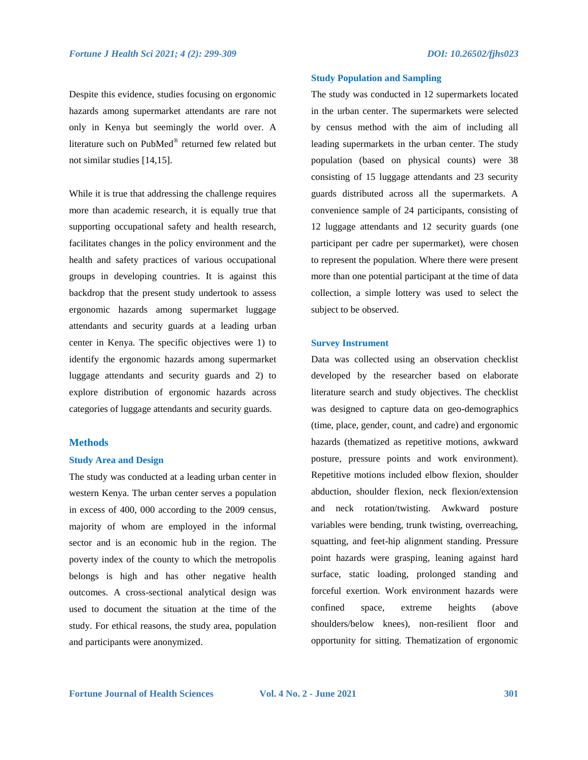Despite this evidence, studies focusing on ergonomic hazards among supermarket attendants are rare not only in Kenya but seemingly the world over. A literature such on PubMed® returned few related but not similar studies [14,15].

While it is true that addressing the challenge requires more than academic research, it is equally true that supporting occupational safety and health research, facilitates changes in the policy environment and the health and safety practices of various occupational groups in developing countries. It is against this backdrop that the present study undertook to assess ergonomic hazards among supermarket luggage attendants and security guards at a leading urban center in Kenya. The specific objectives were 1) to identify the ergonomic hazards among supermarket luggage attendants and security guards and 2) to explore distribution of ergonomic hazards across categories of luggage attendants and security guards.

## **Methods**

#### **Study Area and Design**

The study was conducted at a leading urban center in western Kenya. The urban center serves a population in excess of 400, 000 according to the 2009 census, majority of whom are employed in the informal sector and is an economic hub in the region. The poverty index of the county to which the metropolis belongs is high and has other negative health outcomes. A cross-sectional analytical design was used to document the situation at the time of the study. For ethical reasons, the study area, population and participants were anonymized.

#### **Study Population and Sampling**

The study was conducted in 12 supermarkets located in the urban center. The supermarkets were selected by census method with the aim of including all leading supermarkets in the urban center. The study population (based on physical counts) were 38 consisting of 15 luggage attendants and 23 security guards distributed across all the supermarkets. A convenience sample of 24 participants, consisting of 12 luggage attendants and 12 security guards (one participant per cadre per supermarket), were chosen to represent the population. Where there were present more than one potential participant at the time of data collection, a simple lottery was used to select the subject to be observed.

#### **Survey Instrument**

Data was collected using an observation checklist developed by the researcher based on elaborate literature search and study objectives. The checklist was designed to capture data on geo-demographics (time, place, gender, count, and cadre) and ergonomic hazards (thematized as repetitive motions, awkward posture, pressure points and work environment). Repetitive motions included elbow flexion, shoulder abduction, shoulder flexion, neck flexion/extension and neck rotation/twisting. Awkward posture variables were bending, trunk twisting, overreaching, squatting, and feet-hip alignment standing. Pressure point hazards were grasping, leaning against hard surface, static loading, prolonged standing and forceful exertion. Work environment hazards were confined space, extreme heights (above shoulders/below knees), non-resilient floor and opportunity for sitting. Thematization of ergonomic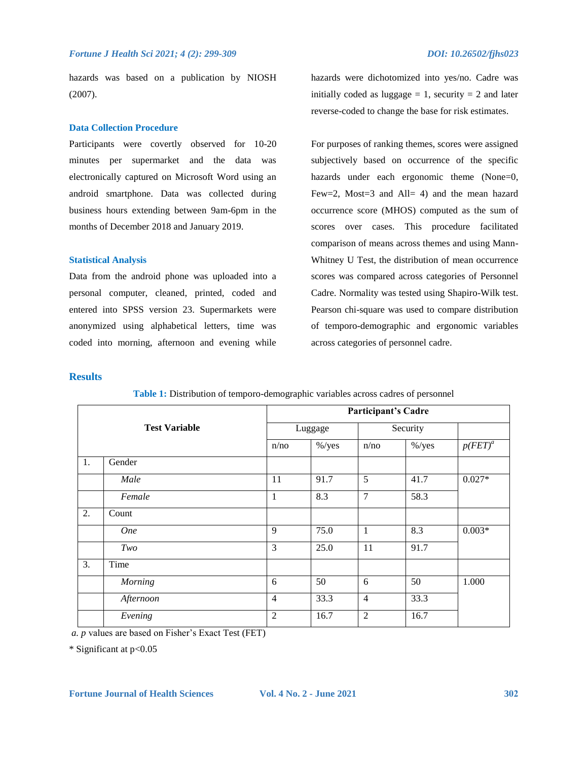hazards was based on a publication by NIOSH (2007).

## **Data Collection Procedure**

Participants were covertly observed for 10-20 minutes per supermarket and the data was electronically captured on Microsoft Word using an android smartphone. Data was collected during business hours extending between 9am-6pm in the months of December 2018 and January 2019.

#### **Statistical Analysis**

Data from the android phone was uploaded into a personal computer, cleaned, printed, coded and entered into SPSS version 23. Supermarkets were anonymized using alphabetical letters, time was coded into morning, afternoon and evening while hazards were dichotomized into yes/no. Cadre was initially coded as luggage  $= 1$ , security  $= 2$  and later reverse-coded to change the base for risk estimates.

For purposes of ranking themes, scores were assigned subjectively based on occurrence of the specific hazards under each ergonomic theme (None=0, Few=2, Most=3 and All= 4) and the mean hazard occurrence score (MHOS) computed as the sum of scores over cases. This procedure facilitated comparison of means across themes and using Mann-Whitney U Test, the distribution of mean occurrence scores was compared across categories of Personnel Cadre. Normality was tested using Shapiro-Wilk test. Pearson chi-square was used to compare distribution of temporo-demographic and ergonomic variables across categories of personnel cadre.

## **Results**

| <b>Test Variable</b> |            | <b>Participant's Cadre</b> |           |                |           |            |
|----------------------|------------|----------------------------|-----------|----------------|-----------|------------|
|                      |            | Luggage                    |           | Security       |           |            |
|                      |            | n/no                       | $\%$ /yes | n/no           | $\%$ /yes | $p(FET)^a$ |
| 1.                   | Gender     |                            |           |                |           |            |
|                      | Male       | 11                         | 91.7      | 5              | 41.7      | $0.027*$   |
|                      | Female     | 1                          | 8.3       | $\overline{7}$ | 58.3      |            |
| 2.                   | Count      |                            |           |                |           |            |
|                      | <b>One</b> | 9                          | 75.0      | $\mathbf{1}$   | 8.3       | $0.003*$   |
|                      | Two        | 3                          | 25.0      | 11             | 91.7      |            |
| 3.                   | Time       |                            |           |                |           |            |
|                      | Morning    | 6                          | 50        | 6              | 50        | 1.000      |
|                      | Afternoon  | $\overline{4}$             | 33.3      | $\overline{4}$ | 33.3      |            |
|                      | Evening    | $\overline{2}$             | 16.7      | $\overline{2}$ | 16.7      |            |

**Table 1:** Distribution of temporo-demographic variables across cadres of personnel

*a. p* values are based on Fisher's Exact Test (FET)

\* Significant at p<0.05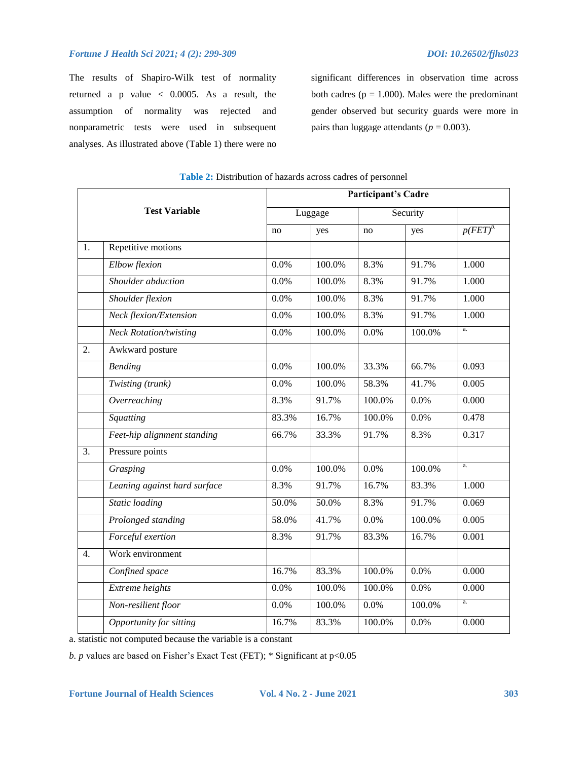The results of Shapiro-Wilk test of normality returned a p value < 0.0005. As a result, the assumption of normality was rejected and nonparametric tests were used in subsequent analyses. As illustrated above (Table 1) there were no

significant differences in observation time across both cadres ( $p = 1.000$ ). Males were the predominant gender observed but security guards were more in pairs than luggage attendants ( $p = 0.003$ ).

|                  |                               |       | <b>Participant's Cadre</b> |        |          |            |  |  |
|------------------|-------------------------------|-------|----------------------------|--------|----------|------------|--|--|
|                  | <b>Test Variable</b>          |       | Luggage                    |        | Security |            |  |  |
|                  |                               | no    | yes                        | no     | yes      | $p(FET)^b$ |  |  |
| 1.               | Repetitive motions            |       |                            |        |          |            |  |  |
|                  | Elbow flexion                 | 0.0%  | 100.0%                     | 8.3%   | 91.7%    | 1.000      |  |  |
|                  | Shoulder abduction            | 0.0%  | 100.0%                     | 8.3%   | 91.7%    | 1.000      |  |  |
|                  | Shoulder flexion              | 0.0%  | 100.0%                     | 8.3%   | 91.7%    | 1.000      |  |  |
|                  | Neck flexion/Extension        | 0.0%  | 100.0%                     | 8.3%   | 91.7%    | 1.000      |  |  |
|                  | <b>Neck Rotation/twisting</b> | 0.0%  | 100.0%                     | 0.0%   | 100.0%   | a.         |  |  |
| 2.               | Awkward posture               |       |                            |        |          |            |  |  |
|                  | <b>Bending</b>                | 0.0%  | 100.0%                     | 33.3%  | 66.7%    | 0.093      |  |  |
|                  | Twisting (trunk)              | 0.0%  | 100.0%                     | 58.3%  | 41.7%    | 0.005      |  |  |
|                  | Overreaching                  | 8.3%  | 91.7%                      | 100.0% | 0.0%     | 0.000      |  |  |
|                  | Squatting                     | 83.3% | 16.7%                      | 100.0% | 0.0%     | 0.478      |  |  |
|                  | Feet-hip alignment standing   | 66.7% | 33.3%                      | 91.7%  | 8.3%     | 0.317      |  |  |
| $\overline{3}$ . | Pressure points               |       |                            |        |          |            |  |  |
|                  | Grasping                      | 0.0%  | 100.0%                     | 0.0%   | 100.0%   | a.         |  |  |
|                  | Leaning against hard surface  | 8.3%  | 91.7%                      | 16.7%  | 83.3%    | 1.000      |  |  |
|                  | Static loading                | 50.0% | 50.0%                      | 8.3%   | 91.7%    | 0.069      |  |  |
|                  | Prolonged standing            | 58.0% | 41.7%                      | 0.0%   | 100.0%   | 0.005      |  |  |
|                  | Forceful exertion             | 8.3%  | 91.7%                      | 83.3%  | 16.7%    | 0.001      |  |  |
| 4.               | Work environment              |       |                            |        |          |            |  |  |
|                  | Confined space                | 16.7% | 83.3%                      | 100.0% | 0.0%     | 0.000      |  |  |
|                  | Extreme heights               | 0.0%  | 100.0%                     | 100.0% | 0.0%     | 0.000      |  |  |
|                  | Non-resilient floor           | 0.0%  | 100.0%                     | 0.0%   | 100.0%   | a.         |  |  |
|                  | Opportunity for sitting       | 16.7% | 83.3%                      | 100.0% | 0.0%     | 0.000      |  |  |

| <b>Table 2:</b> Distribution of hazards across cadres of personnel |  |
|--------------------------------------------------------------------|--|
|--------------------------------------------------------------------|--|

a. statistic not computed because the variable is a constant

*b. p* values are based on Fisher's Exact Test (FET); \* Significant at p<0.05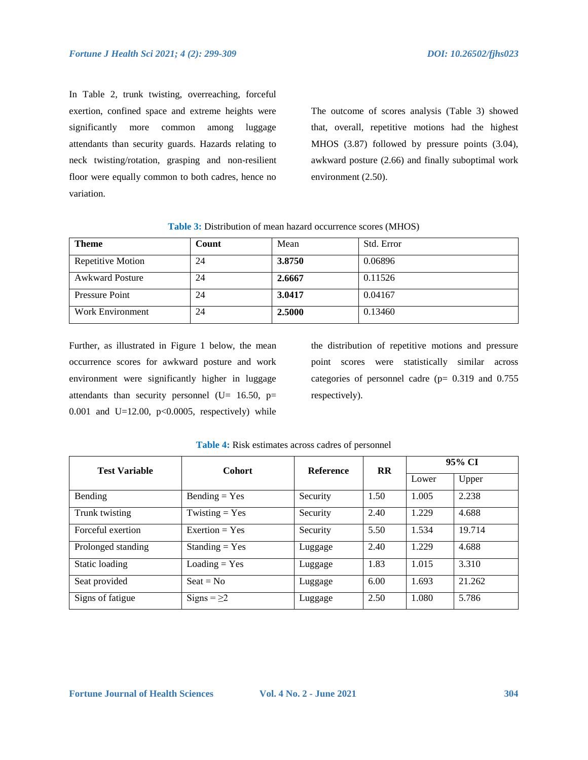In Table 2, trunk twisting, overreaching, forceful exertion, confined space and extreme heights were significantly more common among luggage attendants than security guards. Hazards relating to neck twisting/rotation, grasping and non-resilient floor were equally common to both cadres, hence no variation.

The outcome of scores analysis (Table 3) showed that, overall, repetitive motions had the highest MHOS (3.87) followed by pressure points (3.04), awkward posture (2.66) and finally suboptimal work environment (2.50).

| <b>Table 3:</b> Distribution of mean hazard occurrence scores (MHOS) |  |
|----------------------------------------------------------------------|--|
|----------------------------------------------------------------------|--|

| <b>Theme</b>            | Count | Mean   | Std. Error |
|-------------------------|-------|--------|------------|
| Repetitive Motion       | 24    | 3.8750 | 0.06896    |
| <b>Awkward Posture</b>  | 24    | 2.6667 | 0.11526    |
| Pressure Point          | 24    | 3.0417 | 0.04167    |
| <b>Work Environment</b> | 24    | 2.5000 | 0.13460    |

Further, as illustrated in Figure 1 below, the mean occurrence scores for awkward posture and work environment were significantly higher in luggage attendants than security personnel (U= 16.50, p= 0.001 and U=12.00, p<0.0005, respectively) while

the distribution of repetitive motions and pressure point scores were statistically similar across categories of personnel cadre (p= 0.319 and 0.755 respectively).

| <b>Test Variable</b> | <b>Cohort</b>                 | <b>Reference</b> | <b>RR</b> | 95% CI |        |
|----------------------|-------------------------------|------------------|-----------|--------|--------|
|                      |                               |                  |           | Lower  | Upper  |
| Bending              | $Bending = Yes$               | Security         | 1.50      | 1.005  | 2.238  |
| Trunk twisting       | Twisting $=$ Yes              | Security         | 2.40      | 1.229  | 4.688  |
| Forceful exertion    | Exertion = $Yes$              | Security         | 5.50      | 1.534  | 19.714 |
| Prolonged standing   | $Standing = Yes$              | Luggage          | 2.40      | 1.229  | 4.688  |
| Static loading       | $\text{Loading} = \text{Yes}$ | Luggage          | 1.83      | 1.015  | 3.310  |
| Seat provided        | $S$ eat = No                  | Luggage          | 6.00      | 1.693  | 21.262 |
| Signs of fatigue     | Signs = $\geq$ 2              | Luggage          | 2.50      | 1.080  | 5.786  |

## **Table 4:** Risk estimates across cadres of personnel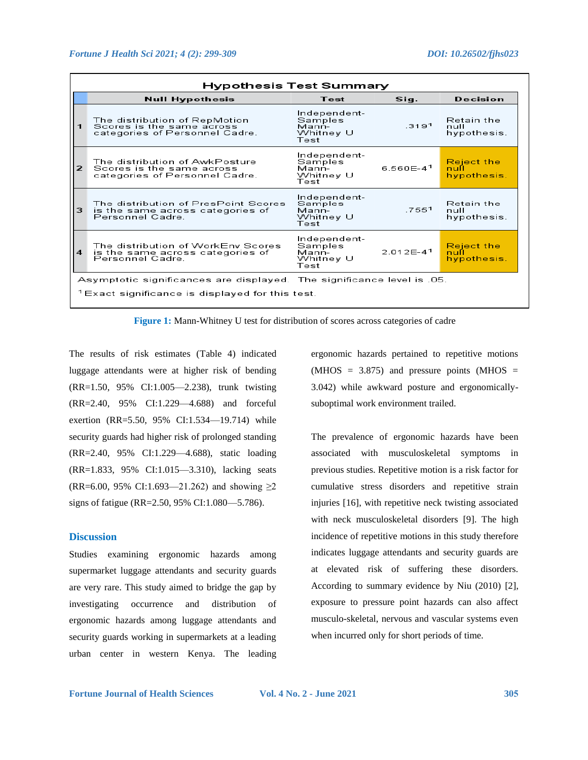| Hypothesis Test Summary                                                |                                                                                               |                                                       |                      |                                          |  |  |  |
|------------------------------------------------------------------------|-----------------------------------------------------------------------------------------------|-------------------------------------------------------|----------------------|------------------------------------------|--|--|--|
|                                                                        | <b>Null Hypothesis</b>                                                                        | Test                                                  | Sig.                 | Decision                                 |  |  |  |
|                                                                        | The distribution of RepMotion<br>Scores is the same across<br>categories of Personnel Cadre.  | Independent-<br>Samples<br>Mann-<br>Whitney U<br>Test | 3191                 | Retain the<br>null<br>hypothesis.        |  |  |  |
| 2                                                                      | The distribution of AwkPosture<br>Scores is the same across<br>categories of Personnel Cadre. | Independent-<br>Samples<br>Mann-<br>Whitney U<br>Test | 6560F-4 <sup>1</sup> | <b>Reject the</b><br>nufl<br>hypothesis. |  |  |  |
| 3                                                                      | The distribution of PresPoint Scores<br>is the same across categories of<br>Personnel Cadre.  | Independent-<br>Samples<br>Mann-<br>Whitney U<br>Test | 7551                 | <b>Retain the</b><br>null<br>hypothesis. |  |  |  |
| 4                                                                      | The distribution of WorkEnv Scores<br>is the same across categories of<br>Personnel Cadre.    | Independent-<br>Samples<br>Mann-<br>Whitney U<br>Test | $2.012F - 41$        | <b>Reject the</b><br>nufl<br>hypothesis. |  |  |  |
| Asymptotic significances are displayed. The significance level is .05. |                                                                                               |                                                       |                      |                                          |  |  |  |
| $1$ Exact significance is displayed for this test.                     |                                                                                               |                                                       |                      |                                          |  |  |  |

**Figure 1:** Mann-Whitney U test for distribution of scores across categories of cadre

The results of risk estimates (Table 4) indicated luggage attendants were at higher risk of bending (RR=1.50, 95% CI:1.005—2.238), trunk twisting (RR=2.40, 95% CI:1.229—4.688) and forceful exertion (RR=5.50, 95% CI:1.534—19.714) while security guards had higher risk of prolonged standing (RR=2.40, 95% CI:1.229—4.688), static loading (RR=1.833, 95% CI:1.015—3.310), lacking seats  $(RR=6.00, 95\% \text{ CI}: 1.693 \text{--} 21.262)$  and showing  $\geq 2$ signs of fatigue (RR=2.50, 95% CI:1.080—5.786).

## **Discussion**

Studies examining ergonomic hazards among supermarket luggage attendants and security guards are very rare. This study aimed to bridge the gap by investigating occurrence and distribution of ergonomic hazards among luggage attendants and security guards working in supermarkets at a leading urban center in western Kenya. The leading

ergonomic hazards pertained to repetitive motions  $(MHOS = 3.875)$  and pressure points  $(MHOS =$ 3.042) while awkward posture and ergonomicallysuboptimal work environment trailed.

The prevalence of ergonomic hazards have been associated with musculoskeletal symptoms in previous studies. Repetitive motion is a risk factor for cumulative stress disorders and repetitive strain injuries [16], with repetitive neck twisting associated with neck musculoskeletal disorders [9]. The high incidence of repetitive motions in this study therefore indicates luggage attendants and security guards are at elevated risk of suffering these disorders. According to summary evidence by Niu (2010) [2], exposure to pressure point hazards can also affect musculo-skeletal, nervous and vascular systems even when incurred only for short periods of time.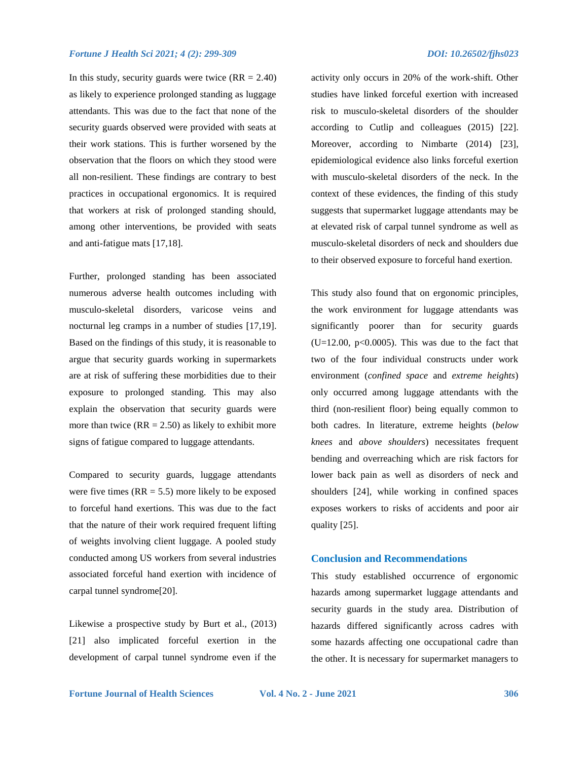In this study, security guards were twice  $(RR = 2.40)$ as likely to experience prolonged standing as luggage attendants. This was due to the fact that none of the security guards observed were provided with seats at their work stations. This is further worsened by the observation that the floors on which they stood were all non-resilient. These findings are contrary to best practices in occupational ergonomics. It is required that workers at risk of prolonged standing should, among other interventions, be provided with seats and anti-fatigue mats [17,18].

Further, prolonged standing has been associated numerous adverse health outcomes including with musculo-skeletal disorders, varicose veins and nocturnal leg cramps in a number of studies [17,19]. Based on the findings of this study, it is reasonable to argue that security guards working in supermarkets are at risk of suffering these morbidities due to their exposure to prolonged standing. This may also explain the observation that security guards were more than twice  $(RR = 2.50)$  as likely to exhibit more signs of fatigue compared to luggage attendants.

Compared to security guards, luggage attendants were five times  $(RR = 5.5)$  more likely to be exposed to forceful hand exertions. This was due to the fact that the nature of their work required frequent lifting of weights involving client luggage. A pooled study conducted among US workers from several industries associated forceful hand exertion with incidence of carpal tunnel syndrome[20].

Likewise a prospective study by Burt et al., (2013) [21] also implicated forceful exertion in the development of carpal tunnel syndrome even if the activity only occurs in 20% of the work-shift. Other studies have linked forceful exertion with increased risk to musculo-skeletal disorders of the shoulder according to Cutlip and colleagues (2015) [22]. Moreover, according to Nimbarte (2014) [23], epidemiological evidence also links forceful exertion with musculo-skeletal disorders of the neck. In the context of these evidences, the finding of this study suggests that supermarket luggage attendants may be at elevated risk of carpal tunnel syndrome as well as musculo-skeletal disorders of neck and shoulders due to their observed exposure to forceful hand exertion.

This study also found that on ergonomic principles, the work environment for luggage attendants was significantly poorer than for security guards  $(U=12.00, p<0.0005)$ . This was due to the fact that two of the four individual constructs under work environment (*confined space* and *extreme heights*) only occurred among luggage attendants with the third (non-resilient floor) being equally common to both cadres. In literature, extreme heights (*below knees* and *above shoulders*) necessitates frequent bending and overreaching which are risk factors for lower back pain as well as disorders of neck and shoulders [24], while working in confined spaces exposes workers to risks of accidents and poor air quality [25].

## **Conclusion and Recommendations**

This study established occurrence of ergonomic hazards among supermarket luggage attendants and security guards in the study area. Distribution of hazards differed significantly across cadres with some hazards affecting one occupational cadre than the other. It is necessary for supermarket managers to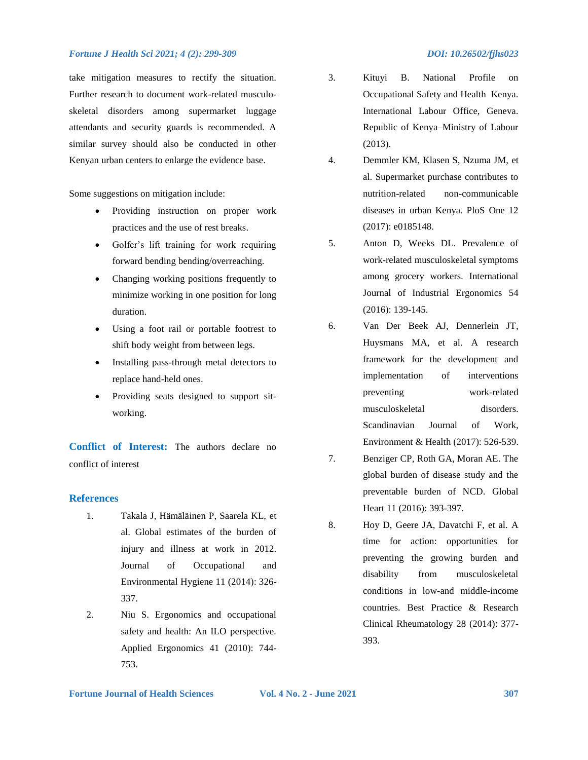## *Fortune J Health Sci 2021; 4 (2): 299-309 DOI: 10.26502/fjhs023*

take mitigation measures to rectify the situation. Further research to document work-related musculoskeletal disorders among supermarket luggage attendants and security guards is recommended. A similar survey should also be conducted in other Kenyan urban centers to enlarge the evidence base.

Some suggestions on mitigation include:

- Providing instruction on proper work practices and the use of rest breaks.
- Golfer's lift training for work requiring forward bending bending/overreaching.
- Changing working positions frequently to minimize working in one position for long duration.
- Using a foot rail or portable footrest to shift body weight from between legs.
- Installing pass-through metal detectors to replace hand-held ones.
- Providing seats designed to support sitworking.

**Conflict of Interest:** The authors declare no conflict of interest

# **References**

- 1. Takala J, Hämäläinen P, Saarela KL, et al. Global estimates of the burden of injury and illness at work in 2012. Journal of Occupational and Environmental Hygiene 11 (2014): 326- 337.
- 2. Niu S. Ergonomics and occupational safety and health: An ILO perspective. Applied Ergonomics 41 (2010): 744- 753.
- 3. Kituyi B. National Profile on Occupational Safety and Health–Kenya. International Labour Office, Geneva. Republic of Kenya–Ministry of Labour (2013).
- 4. Demmler KM, Klasen S, Nzuma JM, et al. Supermarket purchase contributes to nutrition-related non-communicable diseases in urban Kenya. PloS One 12 (2017): e0185148.
- 5. Anton D, Weeks DL. Prevalence of work-related musculoskeletal symptoms among grocery workers. International Journal of Industrial Ergonomics 54 (2016): 139-145.
- 6. Van Der Beek AJ, Dennerlein JT, Huysmans MA, et al. A research framework for the development and implementation of interventions preventing work-related musculoskeletal disorders. Scandinavian Journal of Work, Environment & Health (2017): 526-539.
- 7. Benziger CP, Roth GA, Moran AE. The global burden of disease study and the preventable burden of NCD. Global Heart 11 (2016): 393-397.
- 8. Hoy D, Geere JA, Davatchi F, et al. A time for action: opportunities for preventing the growing burden and disability from musculoskeletal conditions in low-and middle-income countries. Best Practice & Research Clinical Rheumatology 28 (2014): 377- 393.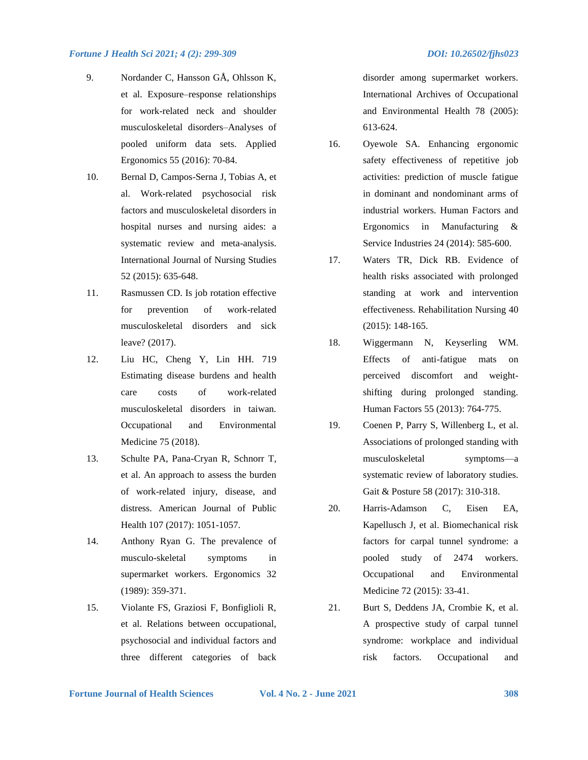## *Fortune J Health Sci 2021; 4 (2): 299-309 DOI: 10.26502/fjhs023*

- 9. Nordander C, Hansson GÅ, Ohlsson K, et al. Exposure–response relationships for work-related neck and shoulder musculoskeletal disorders–Analyses of pooled uniform data sets. Applied Ergonomics 55 (2016): 70-84.
- 10. Bernal D, Campos-Serna J, Tobias A, et al. Work-related psychosocial risk factors and musculoskeletal disorders in hospital nurses and nursing aides: a systematic review and meta-analysis. International Journal of Nursing Studies 52 (2015): 635-648.
- 11. Rasmussen CD. Is job rotation effective for prevention of work-related musculoskeletal disorders and sick leave? (2017).
- 12. Liu HC, Cheng Y, Lin HH. 719 Estimating disease burdens and health care costs of work-related musculoskeletal disorders in taiwan. Occupational and Environmental Medicine 75 (2018).
- 13. Schulte PA, Pana-Cryan R, Schnorr T, et al. An approach to assess the burden of work-related injury, disease, and distress. American Journal of Public Health 107 (2017): 1051-1057.
- 14. Anthony Ryan G. The prevalence of musculo-skeletal symptoms in supermarket workers. Ergonomics 32 (1989): 359-371.
- 15. Violante FS, Graziosi F, Bonfiglioli R, et al. Relations between occupational, psychosocial and individual factors and three different categories of back

disorder among supermarket workers. International Archives of Occupational and Environmental Health 78 (2005): 613-624.

- 16. Oyewole SA. Enhancing ergonomic safety effectiveness of repetitive job activities: prediction of muscle fatigue in dominant and nondominant arms of industrial workers. Human Factors and Ergonomics in Manufacturing & Service Industries 24 (2014): 585-600.
- 17. Waters TR, Dick RB. Evidence of health risks associated with prolonged standing at work and intervention effectiveness. Rehabilitation Nursing 40 (2015): 148-165.
- 18. Wiggermann N, Keyserling WM. Effects of anti-fatigue mats on perceived discomfort and weightshifting during prolonged standing. Human Factors 55 (2013): 764-775.
- 19. Coenen P, Parry S, Willenberg L, et al. Associations of prolonged standing with musculoskeletal symptoms—a systematic review of laboratory studies. Gait & Posture 58 (2017): 310-318.
- 20. Harris-Adamson C, Eisen EA, Kapellusch J, et al. Biomechanical risk factors for carpal tunnel syndrome: a pooled study of 2474 workers. Occupational and Environmental Medicine 72 (2015): 33-41.
- 21. Burt S, Deddens JA, Crombie K, et al. A prospective study of carpal tunnel syndrome: workplace and individual risk factors. Occupational and

**Fortune Journal of Health Sciences Vol. 4 No. 2 - June 2021 308**